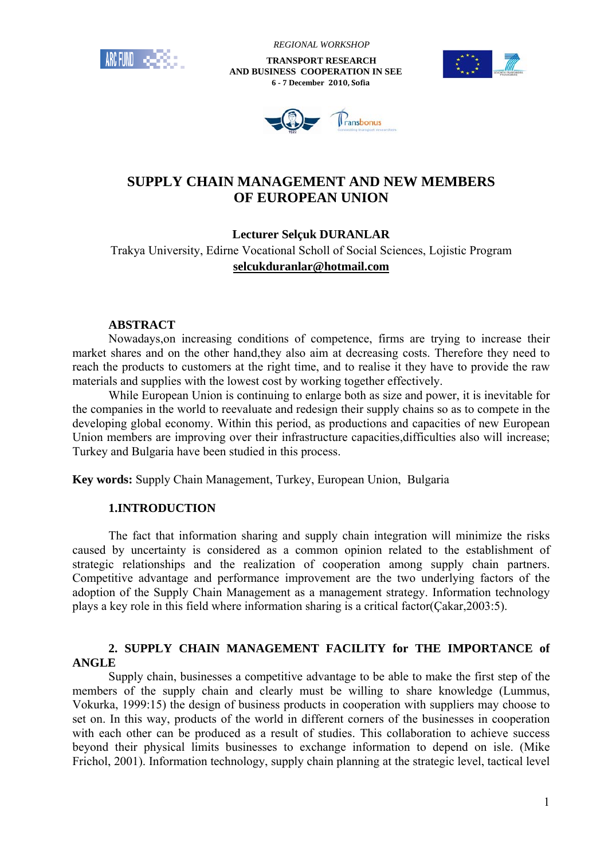

 *REGIONAL WORKSHOP*

 **TRANSPORT RESEARCH AND BUSINESS COOPERATION IN SEE 6 - 7 December 2010, Sofia**





# **SUPPLY CHAIN MANAGEMENT AND NEW MEMBERS OF EUROPEAN UNION**

# **Lecturer Selçuk DURANLAR**

Trakya University, Edirne Vocational Scholl of Social Sciences, Lojistic Program **selcukduranlar@hotmail.com**

### **ABSTRACT**

Nowadays,on increasing conditions of competence, firms are trying to increase their market shares and on the other hand,they also aim at decreasing costs. Therefore they need to reach the products to customers at the right time, and to realise it they have to provide the raw materials and supplies with the lowest cost by working together effectively.

While European Union is continuing to enlarge both as size and power, it is inevitable for the companies in the world to reevaluate and redesign their supply chains so as to compete in the developing global economy. Within this period, as productions and capacities of new European Union members are improving over their infrastructure capacities,difficulties also will increase; Turkey and Bulgaria have been studied in this process.

**Key words:** Supply Chain Management, Turkey, European Union, Bulgaria

# **1.INTRODUCTION**

The fact that information sharing and supply chain integration will minimize the risks caused by uncertainty is considered as a common opinion related to the establishment of strategic relationships and the realization of cooperation among supply chain partners. Competitive advantage and performance improvement are the two underlying factors of the adoption of the Supply Chain Management as a management strategy. Information technology plays a key role in this field where information sharing is a critical factor(Çakar,2003:5).

# **2. SUPPLY CHAIN MANAGEMENT FACILITY for THE IMPORTANCE of ANGLE**

Supply chain, businesses a competitive advantage to be able to make the first step of the members of the supply chain and clearly must be willing to share knowledge (Lummus, Vokurka, 1999:15) the design of business products in cooperation with suppliers may choose to set on. In this way, products of the world in different corners of the businesses in cooperation with each other can be produced as a result of studies. This collaboration to achieve success beyond their physical limits businesses to exchange information to depend on isle. (Mike Frichol, 2001). Information technology, supply chain planning at the strategic level, tactical level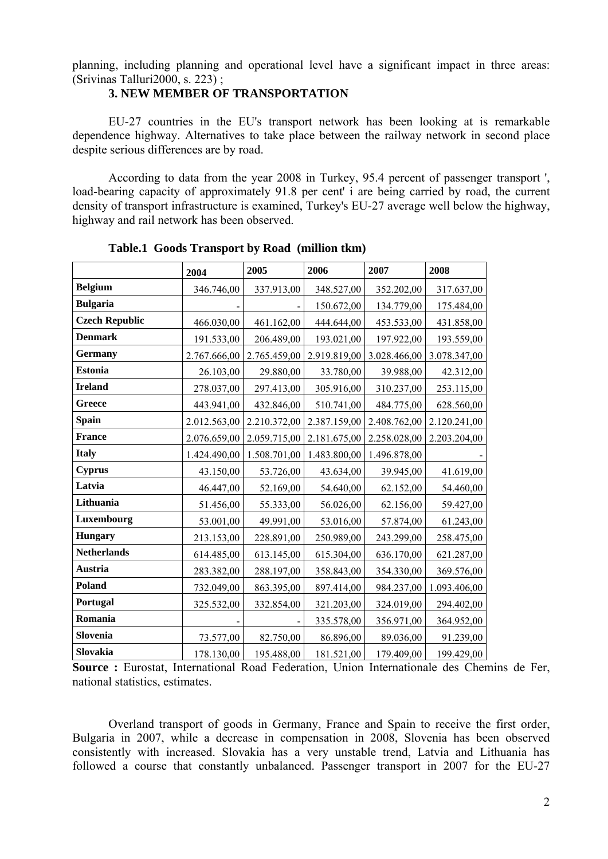planning, including planning and operational level have a significant impact in three areas: (Srivinas Talluri2000, s. 223) ;

#### **3. NEW MEMBER OF TRANSPORTATION**

EU-27 countries in the EU's transport network has been looking at is remarkable dependence highway. Alternatives to take place between the railway network in second place despite serious differences are by road.

According to data from the year 2008 in Turkey, 95.4 percent of passenger transport ', load-bearing capacity of approximately 91.8 per cent' i are being carried by road, the current density of transport infrastructure is examined, Turkey's EU-27 average well below the highway, highway and rail network has been observed.

|                       | 2004         | 2005         | 2006         | 2007         | 2008         |
|-----------------------|--------------|--------------|--------------|--------------|--------------|
| <b>Belgium</b>        | 346.746,00   | 337.913,00   | 348.527,00   | 352.202,00   | 317.637,00   |
| <b>Bulgaria</b>       |              |              | 150.672,00   | 134.779,00   | 175.484,00   |
| <b>Czech Republic</b> | 466.030,00   | 461.162,00   | 444.644,00   | 453.533,00   | 431.858,00   |
| <b>Denmark</b>        | 191.533,00   | 206.489,00   | 193.021,00   | 197.922,00   | 193.559,00   |
| <b>Germany</b>        | 2.767.666,00 | 2.765.459,00 | 2.919.819,00 | 3.028.466,00 | 3.078.347,00 |
| <b>Estonia</b>        | 26.103,00    | 29.880,00    | 33.780,00    | 39.988,00    | 42.312,00    |
| <b>Ireland</b>        | 278.037,00   | 297.413,00   | 305.916,00   | 310.237,00   | 253.115,00   |
| Greece                | 443.941,00   | 432.846,00   | 510.741,00   | 484.775,00   | 628.560,00   |
| <b>Spain</b>          | 2.012.563,00 | 2.210.372,00 | 2.387.159,00 | 2.408.762,00 | 2.120.241,00 |
| <b>France</b>         | 2.076.659,00 | 2.059.715,00 | 2.181.675,00 | 2.258.028,00 | 2.203.204,00 |
| <b>Italy</b>          | 1.424.490,00 | 1.508.701,00 | 1.483.800,00 | 1.496.878,00 |              |
| <b>Cyprus</b>         | 43.150,00    | 53.726,00    | 43.634,00    | 39.945,00    | 41.619,00    |
| Latvia                | 46.447,00    | 52.169,00    | 54.640,00    | 62.152,00    | 54.460,00    |
| Lithuania             | 51.456,00    | 55.333,00    | 56.026,00    | 62.156,00    | 59.427,00    |
| Luxembourg            | 53.001,00    | 49.991,00    | 53.016,00    | 57.874,00    | 61.243,00    |
| <b>Hungary</b>        | 213.153,00   | 228.891,00   | 250.989,00   | 243.299,00   | 258.475,00   |
| <b>Netherlands</b>    | 614.485,00   | 613.145,00   | 615.304,00   | 636.170,00   | 621.287,00   |
| <b>Austria</b>        | 283.382,00   | 288.197,00   | 358.843,00   | 354.330,00   | 369.576,00   |
| <b>Poland</b>         | 732.049,00   | 863.395,00   | 897.414,00   | 984.237,00   | 1.093.406,00 |
| Portugal              | 325.532,00   | 332.854,00   | 321.203,00   | 324.019,00   | 294.402,00   |
| Romania               |              |              | 335.578,00   | 356.971,00   | 364.952,00   |
| Slovenia              | 73.577,00    | 82.750,00    | 86.896,00    | 89.036,00    | 91.239,00    |
| Slovakia              | 178.130,00   | 195.488,00   | 181.521,00   | 179.409,00   | 199.429,00   |

**Table.1 Goods Transport by Road (million tkm)** 

**Source :** Eurostat, International Road Federation, Union Internationale des Chemins de Fer, national statistics, estimates.

Overland transport of goods in Germany, France and Spain to receive the first order, Bulgaria in 2007, while a decrease in compensation in 2008, Slovenia has been observed consistently with increased. Slovakia has a very unstable trend, Latvia and Lithuania has followed a course that constantly unbalanced. Passenger transport in 2007 for the EU-27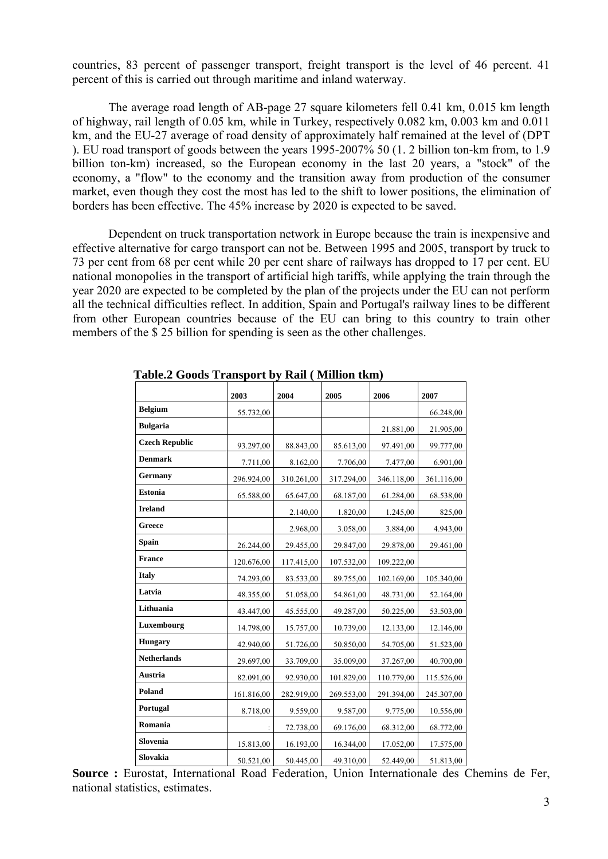countries, 83 percent of passenger transport, freight transport is the level of 46 percent. 41 percent of this is carried out through maritime and inland waterway.

The average road length of AB-page 27 square kilometers fell 0.41 km, 0.015 km length of highway, rail length of 0.05 km, while in Turkey, respectively 0.082 km, 0.003 km and 0.011 km, and the EU-27 average of road density of approximately half remained at the level of (DPT ). EU road transport of goods between the years 1995-2007% 50 (1. 2 billion ton-km from, to 1.9 billion ton-km) increased, so the European economy in the last 20 years, a "stock" of the economy, a "flow" to the economy and the transition away from production of the consumer market, even though they cost the most has led to the shift to lower positions, the elimination of borders has been effective. The 45% increase by 2020 is expected to be saved.

Dependent on truck transportation network in Europe because the train is inexpensive and effective alternative for cargo transport can not be. Between 1995 and 2005, transport by truck to 73 per cent from 68 per cent while 20 per cent share of railways has dropped to 17 per cent. EU national monopolies in the transport of artificial high tariffs, while applying the train through the year 2020 are expected to be completed by the plan of the projects under the EU can not perform all the technical difficulties reflect. In addition, Spain and Portugal's railway lines to be different from other European countries because of the EU can bring to this country to train other members of the \$ 25 billion for spending is seen as the other challenges.

|                       | 2003       | 2004       | 2005       | 2006       | 2007       |
|-----------------------|------------|------------|------------|------------|------------|
| <b>Belgium</b>        | 55.732,00  |            |            |            | 66.248,00  |
| <b>Bulgaria</b>       |            |            |            | 21.881,00  | 21.905,00  |
| <b>Czech Republic</b> | 93.297,00  | 88.843,00  | 85.613,00  | 97.491,00  | 99.777,00  |
| <b>Denmark</b>        | 7.711,00   | 8.162,00   | 7.706,00   | 7.477,00   | 6.901,00   |
| Germany               | 296.924,00 | 310.261,00 | 317.294,00 | 346.118,00 | 361.116,00 |
| <b>Estonia</b>        | 65.588,00  | 65.647,00  | 68.187,00  | 61.284,00  | 68.538,00  |
| <b>Ireland</b>        |            | 2.140,00   | 1.820,00   | 1.245,00   | 825,00     |
| Greece                |            | 2.968,00   | 3.058,00   | 3.884,00   | 4.943,00   |
| <b>Spain</b>          | 26.244,00  | 29.455,00  | 29.847,00  | 29.878,00  | 29.461,00  |
| <b>France</b>         | 120.676,00 | 117.415,00 | 107.532,00 | 109.222,00 |            |
| <b>Italy</b>          | 74.293,00  | 83.533,00  | 89.755,00  | 102.169,00 | 105.340,00 |
| Latvia                | 48.355,00  | 51.058,00  | 54.861,00  | 48.731,00  | 52.164,00  |
| Lithuania             | 43.447,00  | 45.555,00  | 49.287,00  | 50.225,00  | 53.503,00  |
| Luxembourg            | 14.798,00  | 15.757,00  | 10.739,00  | 12.133,00  | 12.146,00  |
| <b>Hungary</b>        | 42.940,00  | 51.726,00  | 50.850,00  | 54.705,00  | 51.523,00  |
| <b>Netherlands</b>    | 29.697,00  | 33.709,00  | 35.009,00  | 37.267,00  | 40.700,00  |
| Austria               | 82.091,00  | 92.930,00  | 101.829,00 | 110.779,00 | 115.526,00 |
| Poland                | 161.816,00 | 282.919,00 | 269.553,00 | 291.394,00 | 245.307,00 |
| Portugal              | 8.718,00   | 9.559,00   | 9.587,00   | 9.775,00   | 10.556,00  |
| Romania               |            | 72.738,00  | 69.176,00  | 68.312,00  | 68.772,00  |
| Slovenia              | 15.813,00  | 16.193,00  | 16.344,00  | 17.052,00  | 17.575,00  |
| Slovakia              | 50.521,00  | 50.445,00  | 49.310,00  | 52.449,00  | 51.813,00  |

 **Table.2 Goods Transport by Rail ( Million tkm)** 

**Source :** Eurostat, International Road Federation, Union Internationale des Chemins de Fer, national statistics, estimates.